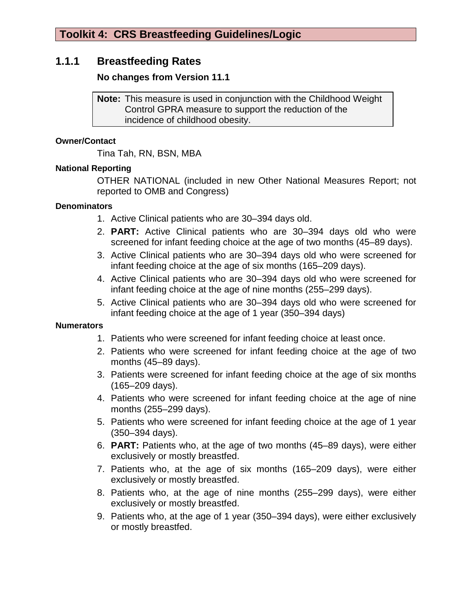# **1.1.1 Breastfeeding Rates**

## **No changes from Version 11.1**

**Note:** This measure is used in conjunction with the Childhood Weight Control GPRA measure to support the reduction of the incidence of childhood obesity.

#### **Owner/Contact**

Tina Tah, RN, BSN, MBA

## **National Reporting**

OTHER NATIONAL (included in new Other National Measures Report; not reported to OMB and Congress)

### **Denominators**

- 1. Active Clinical patients who are 30–394 days old.
- 2. **PART:** Active Clinical patients who are 30–394 days old who were screened for infant feeding choice at the age of two months (45–89 days).
- 3. Active Clinical patients who are 30–394 days old who were screened for infant feeding choice at the age of six months (165–209 days).
- 4. Active Clinical patients who are 30–394 days old who were screened for infant feeding choice at the age of nine months (255–299 days).
- 5. Active Clinical patients who are 30–394 days old who were screened for infant feeding choice at the age of 1 year (350–394 days)

### **Numerators**

- 1. Patients who were screened for infant feeding choice at least once.
- 2. Patients who were screened for infant feeding choice at the age of two months (45–89 days).
- 3. Patients were screened for infant feeding choice at the age of six months (165–209 days).
- 4. Patients who were screened for infant feeding choice at the age of nine months (255–299 days).
- 5. Patients who were screened for infant feeding choice at the age of 1 year (350–394 days).
- 6. **PART:** Patients who, at the age of two months (45–89 days), were either exclusively or mostly breastfed.
- 7. Patients who, at the age of six months (165–209 days), were either exclusively or mostly breastfed.
- 8. Patients who, at the age of nine months (255–299 days), were either exclusively or mostly breastfed.
- 9. Patients who, at the age of 1 year (350–394 days), were either exclusively or mostly breastfed.